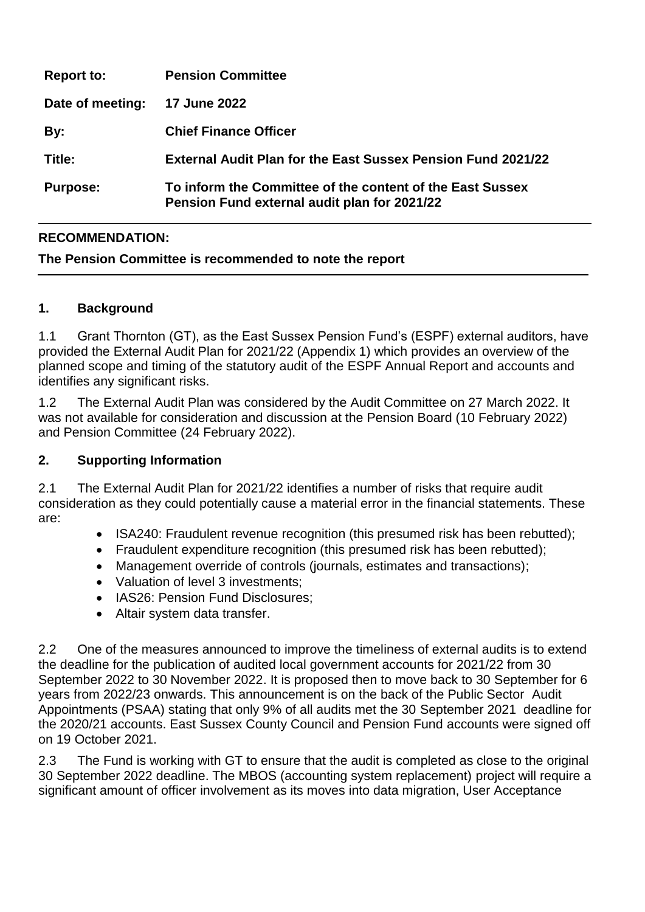| <b>Report to:</b> | <b>Pension Committee</b>                                                                                  |
|-------------------|-----------------------------------------------------------------------------------------------------------|
| Date of meeting:  | 17 June 2022                                                                                              |
| By:               | <b>Chief Finance Officer</b>                                                                              |
| Title:            | <b>External Audit Plan for the East Sussex Pension Fund 2021/22</b>                                       |
| <b>Purpose:</b>   | To inform the Committee of the content of the East Sussex<br>Pension Fund external audit plan for 2021/22 |

# **RECOMMENDATION:**

### **The Pension Committee is recommended to note the report**

### **1. Background**

1.1 Grant Thornton (GT), as the East Sussex Pension Fund's (ESPF) external auditors, have provided the External Audit Plan for 2021/22 (Appendix 1) which provides an overview of the planned scope and timing of the statutory audit of the ESPF Annual Report and accounts and identifies any significant risks.

1.2 The External Audit Plan was considered by the Audit Committee on 27 March 2022. It was not available for consideration and discussion at the Pension Board (10 February 2022) and Pension Committee (24 February 2022).

#### **2. Supporting Information**

2.1 The External Audit Plan for 2021/22 identifies a number of risks that require audit consideration as they could potentially cause a material error in the financial statements. These are:

- ISA240: Fraudulent revenue recognition (this presumed risk has been rebutted);
- Fraudulent expenditure recognition (this presumed risk has been rebutted);
- Management override of controls (journals, estimates and transactions);
- Valuation of level 3 investments:
- IAS26: Pension Fund Disclosures;
- Altair system data transfer.

2.2 One of the measures announced to improve the timeliness of external audits is to extend the deadline for the publication of audited local government accounts for 2021/22 from 30 September 2022 to 30 November 2022. It is proposed then to move back to 30 September for 6 years from 2022/23 onwards. This announcement is on the back of the Public Sector Audit Appointments (PSAA) stating that only 9% of all audits met the 30 September 2021 deadline for the 2020/21 accounts. East Sussex County Council and Pension Fund accounts were signed off on 19 October 2021.

2.3 The Fund is working with GT to ensure that the audit is completed as close to the original 30 September 2022 deadline. The MBOS (accounting system replacement) project will require a significant amount of officer involvement as its moves into data migration, User Acceptance